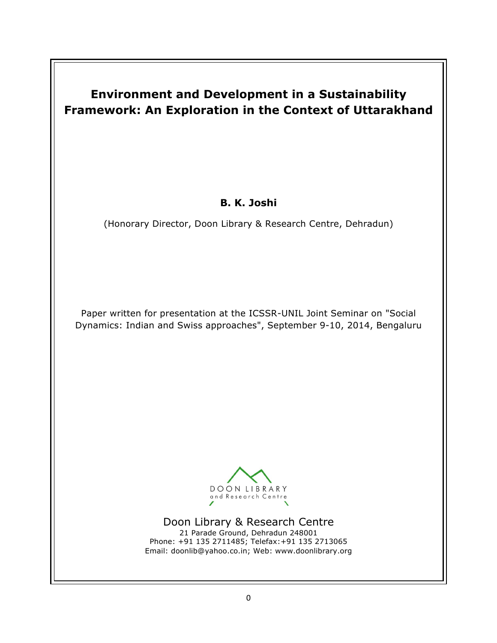# **Environment and Development in a Sustainability Framework: An Exploration in the Context of Uttarakhand**

## **B. K. Joshi**

(Honorary Director, Doon Library & Research Centre, Dehradun)

Paper written for presentation at the ICSSR-UNIL Joint Seminar on "Social Dynamics: Indian and Swiss approaches", September 9-10, 2014, Bengaluru



Doon Library & Research Centre 21 Parade Ground, Dehradun 248001 Phone: +91 135 2711485; Telefax:+91 135 2713065 Email: doonlib@yahoo.co.in; Web: www.doonlibrary.org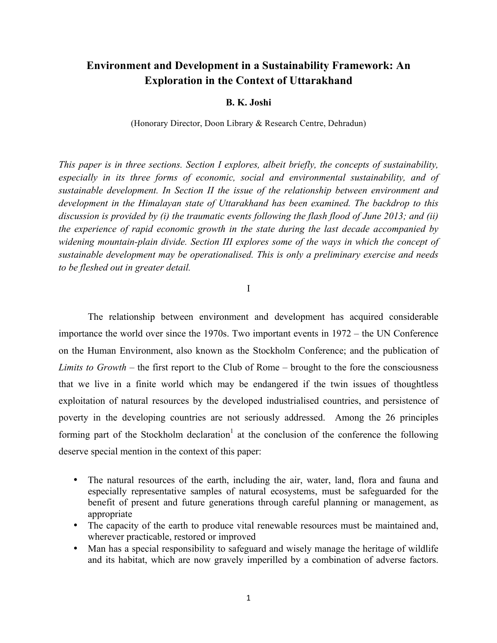### **Environment and Development in a Sustainability Framework: An Exploration in the Context of Uttarakhand**

#### **B. K. Joshi**

(Honorary Director, Doon Library & Research Centre, Dehradun)

*This paper is in three sections. Section I explores, albeit briefly, the concepts of sustainability,*  especially in its three forms of economic, social and environmental sustainability, and of *sustainable development. In Section II the issue of the relationship between environment and development in the Himalayan state of Uttarakhand has been examined. The backdrop to this discussion is provided by (i) the traumatic events following the flash flood of June 2013; and (ii) the experience of rapid economic growth in the state during the last decade accompanied by widening mountain-plain divide. Section III explores some of the ways in which the concept of sustainable development may be operationalised. This is only a preliminary exercise and needs to be fleshed out in greater detail.* 

#### I

The relationship between environment and development has acquired considerable importance the world over since the 1970s. Two important events in 1972 – the UN Conference on the Human Environment, also known as the Stockholm Conference; and the publication of *Limits to Growth* – the first report to the Club of Rome – brought to the fore the consciousness that we live in a finite world which may be endangered if the twin issues of thoughtless exploitation of natural resources by the developed industrialised countries, and persistence of poverty in the developing countries are not seriously addressed. Among the 26 principles forming part of the Stockholm declaration<sup>1</sup> at the conclusion of the conference the following deserve special mention in the context of this paper:

- The natural resources of the earth, including the air, water, land, flora and fauna and especially representative samples of natural ecosystems, must be safeguarded for the benefit of present and future generations through careful planning or management, as appropriate
- The capacity of the earth to produce vital renewable resources must be maintained and, wherever practicable, restored or improved
- Man has a special responsibility to safeguard and wisely manage the heritage of wildlife and its habitat, which are now gravely imperilled by a combination of adverse factors.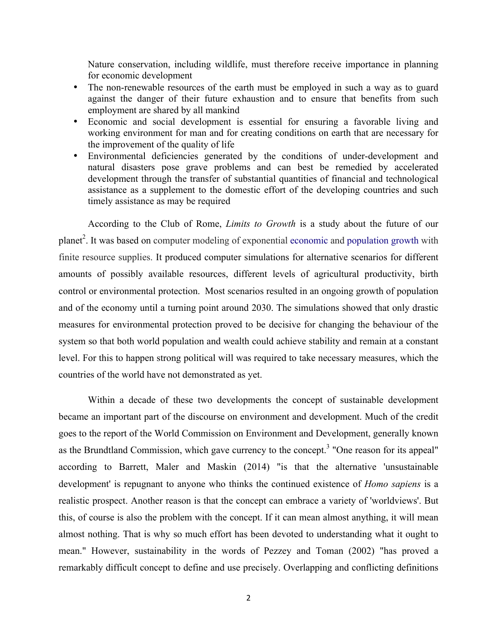Nature conservation, including wildlife, must therefore receive importance in planning for economic development

- The non-renewable resources of the earth must be employed in such a way as to guard against the danger of their future exhaustion and to ensure that benefits from such employment are shared by all mankind
- Economic and social development is essential for ensuring a favorable living and working environment for man and for creating conditions on earth that are necessary for the improvement of the quality of life
- Environmental deficiencies generated by the conditions of under-development and natural disasters pose grave problems and can best be remedied by accelerated development through the transfer of substantial quantities of financial and technological assistance as a supplement to the domestic effort of the developing countries and such timely assistance as may be required

According to the Club of Rome, *Limits to Growth* is a study about the future of our planet<sup>2</sup>. It was based on computer modeling of exponential economic and population growth with finite resource supplies. It produced computer simulations for alternative scenarios for different amounts of possibly available resources, different levels of agricultural productivity, birth control or environmental protection. Most scenarios resulted in an ongoing growth of population and of the economy until a turning point around 2030. The simulations showed that only drastic measures for environmental protection proved to be decisive for changing the behaviour of the system so that both world population and wealth could achieve stability and remain at a constant level. For this to happen strong political will was required to take necessary measures, which the countries of the world have not demonstrated as yet.

Within a decade of these two developments the concept of sustainable development became an important part of the discourse on environment and development. Much of the credit goes to the report of the World Commission on Environment and Development, generally known as the Brundtland Commission, which gave currency to the concept.<sup>3</sup> "One reason for its appeal" according to Barrett, Maler and Maskin (2014) "is that the alternative 'unsustainable development' is repugnant to anyone who thinks the continued existence of *Homo sapiens* is a realistic prospect. Another reason is that the concept can embrace a variety of 'worldviews'. But this, of course is also the problem with the concept. If it can mean almost anything, it will mean almost nothing. That is why so much effort has been devoted to understanding what it ought to mean." However, sustainability in the words of Pezzey and Toman (2002) "has proved a remarkably difficult concept to define and use precisely. Overlapping and conflicting definitions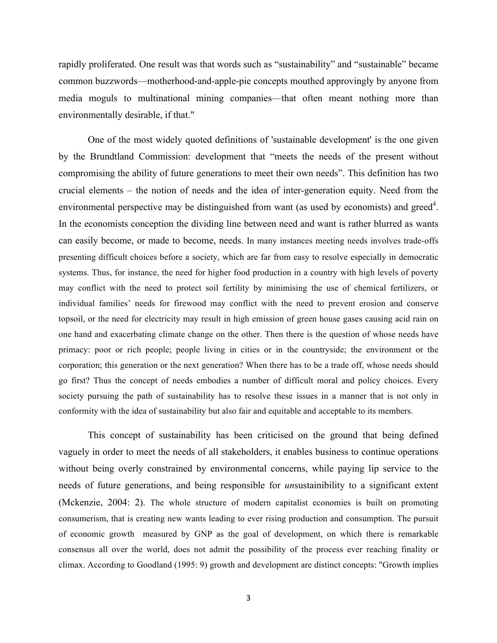rapidly proliferated. One result was that words such as "sustainability" and "sustainable" became common buzzwords—motherhood-and-apple-pie concepts mouthed approvingly by anyone from media moguls to multinational mining companies—that often meant nothing more than environmentally desirable, if that."

One of the most widely quoted definitions of 'sustainable development' is the one given by the Brundtland Commission: development that "meets the needs of the present without compromising the ability of future generations to meet their own needs". This definition has two crucial elements – the notion of needs and the idea of inter-generation equity. Need from the environmental perspective may be distinguished from want (as used by economists) and greed<sup>4</sup>. In the economists conception the dividing line between need and want is rather blurred as wants can easily become, or made to become, needs. In many instances meeting needs involves trade-offs presenting difficult choices before a society, which are far from easy to resolve especially in democratic systems. Thus, for instance, the need for higher food production in a country with high levels of poverty may conflict with the need to protect soil fertility by minimising the use of chemical fertilizers, or individual families' needs for firewood may conflict with the need to prevent erosion and conserve topsoil, or the need for electricity may result in high emission of green house gases causing acid rain on one hand and exacerbating climate change on the other. Then there is the question of whose needs have primacy: poor or rich people; people living in cities or in the countryside; the environment or the corporation; this generation or the next generation? When there has to be a trade off, whose needs should go first? Thus the concept of needs embodies a number of difficult moral and policy choices. Every society pursuing the path of sustainability has to resolve these issues in a manner that is not only in conformity with the idea of sustainability but also fair and equitable and acceptable to its members.

This concept of sustainability has been criticised on the ground that being defined vaguely in order to meet the needs of all stakeholders, it enables business to continue operations without being overly constrained by environmental concerns, while paying lip service to the needs of future generations, and being responsible for *un*sustainibility to a significant extent (Mckenzie, 2004: 2). The whole structure of modern capitalist economies is built on promoting consumerism, that is creating new wants leading to ever rising production and consumption. The pursuit of economic growth measured by GNP as the goal of development, on which there is remarkable consensus all over the world, does not admit the possibility of the process ever reaching finality or climax. According to Goodland (1995: 9) growth and development are distinct concepts: "Growth implies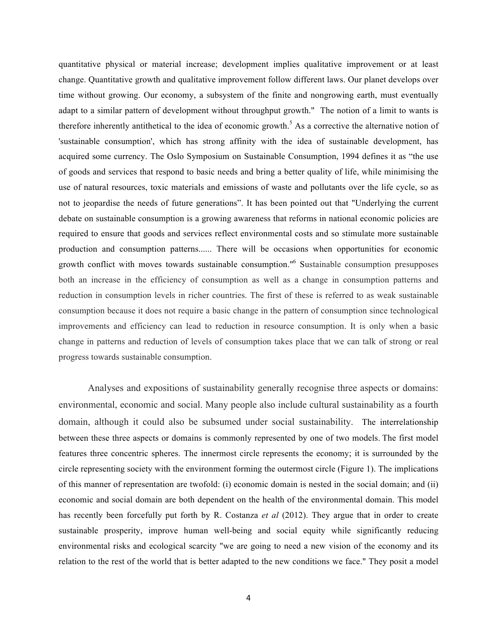quantitative physical or material increase; development implies qualitative improvement or at least change. Quantitative growth and qualitative improvement follow different laws. Our planet develops over time without growing. Our economy, a subsystem of the finite and nongrowing earth, must eventually adapt to a similar pattern of development without throughput growth." The notion of a limit to wants is therefore inherently antithetical to the idea of economic growth.<sup>5</sup> As a corrective the alternative notion of 'sustainable consumption', which has strong affinity with the idea of sustainable development, has acquired some currency. The Oslo Symposium on Sustainable Consumption, 1994 defines it as "the use of goods and services that respond to basic needs and bring a better quality of life, while minimising the use of natural resources, toxic materials and emissions of waste and pollutants over the life cycle, so as not to jeopardise the needs of future generations". It has been pointed out that "Underlying the current debate on sustainable consumption is a growing awareness that reforms in national economic policies are required to ensure that goods and services reflect environmental costs and so stimulate more sustainable production and consumption patterns...... There will be occasions when opportunities for economic growth conflict with moves towards sustainable consumption."6 Sustainable consumption presupposes both an increase in the efficiency of consumption as well as a change in consumption patterns and reduction in consumption levels in richer countries. The first of these is referred to as weak sustainable consumption because it does not require a basic change in the pattern of consumption since technological improvements and efficiency can lead to reduction in resource consumption. It is only when a basic change in patterns and reduction of levels of consumption takes place that we can talk of strong or real progress towards sustainable consumption.

Analyses and expositions of sustainability generally recognise three aspects or domains: environmental, economic and social. Many people also include cultural sustainability as a fourth domain, although it could also be subsumed under social sustainability. The interrelationship between these three aspects or domains is commonly represented by one of two models. The first model features three concentric spheres. The innermost circle represents the economy; it is surrounded by the circle representing society with the environment forming the outermost circle (Figure 1). The implications of this manner of representation are twofold: (i) economic domain is nested in the social domain; and (ii) economic and social domain are both dependent on the health of the environmental domain. This model has recently been forcefully put forth by R. Costanza *et al* (2012). They argue that in order to create sustainable prosperity, improve human well-being and social equity while significantly reducing environmental risks and ecological scarcity "we are going to need a new vision of the economy and its relation to the rest of the world that is better adapted to the new conditions we face." They posit a model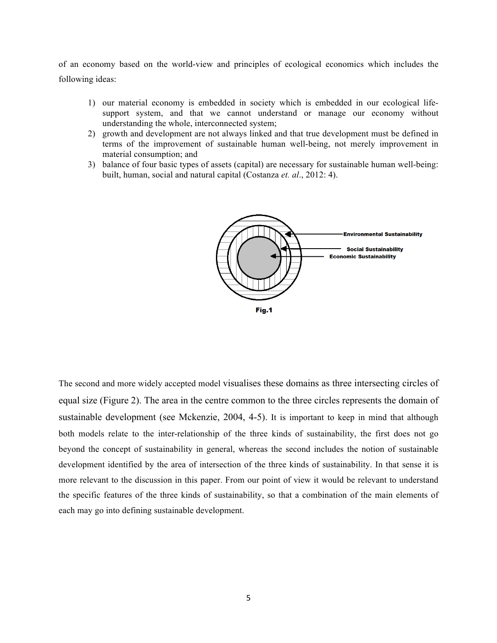of an economy based on the world-view and principles of ecological economics which includes the following ideas:

- 1) our material economy is embedded in society which is embedded in our ecological lifesupport system, and that we cannot understand or manage our economy without understanding the whole, interconnected system;
- 2) growth and development are not always linked and that true development must be defined in terms of the improvement of sustainable human well-being, not merely improvement in material consumption; and
- 3) balance of four basic types of assets (capital) are necessary for sustainable human well-being: built, human, social and natural capital (Costanza *et. al*., 2012: 4).



The second and more widely accepted model visualises these domains as three intersecting circles of equal size (Figure 2). The area in the centre common to the three circles represents the domain of sustainable development (see Mckenzie, 2004, 4-5). It is important to keep in mind that although both models relate to the inter-relationship of the three kinds of sustainability, the first does not go beyond the concept of sustainability in general, whereas the second includes the notion of sustainable development identified by the area of intersection of the three kinds of sustainability. In that sense it is more relevant to the discussion in this paper. From our point of view it would be relevant to understand the specific features of the three kinds of sustainability, so that a combination of the main elements of each may go into defining sustainable development.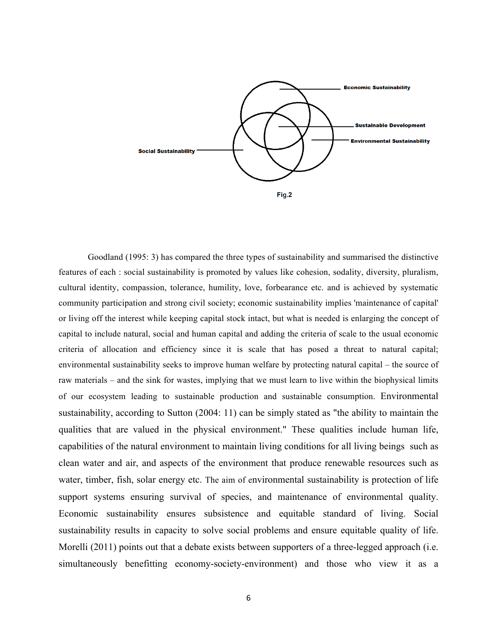

Goodland (1995: 3) has compared the three types of sustainability and summarised the distinctive features of each : social sustainability is promoted by values like cohesion, sodality, diversity, pluralism, cultural identity, compassion, tolerance, humility, love, forbearance etc. and is achieved by systematic community participation and strong civil society; economic sustainability implies 'maintenance of capital' or living off the interest while keeping capital stock intact, but what is needed is enlarging the concept of capital to include natural, social and human capital and adding the criteria of scale to the usual economic criteria of allocation and efficiency since it is scale that has posed a threat to natural capital; environmental sustainability seeks to improve human welfare by protecting natural capital – the source of raw materials – and the sink for wastes, implying that we must learn to live within the biophysical limits of our ecosystem leading to sustainable production and sustainable consumption. Environmental sustainability, according to Sutton (2004: 11) can be simply stated as "the ability to maintain the qualities that are valued in the physical environment." These qualities include human life, capabilities of the natural environment to maintain living conditions for all living beings such as clean water and air, and aspects of the environment that produce renewable resources such as water, timber, fish, solar energy etc. The aim of environmental sustainability is protection of life support systems ensuring survival of species, and maintenance of environmental quality. Economic sustainability ensures subsistence and equitable standard of living. Social sustainability results in capacity to solve social problems and ensure equitable quality of life. Morelli (2011) points out that a debate exists between supporters of a three-legged approach (i.e. simultaneously benefitting economy-society-environment) and those who view it as a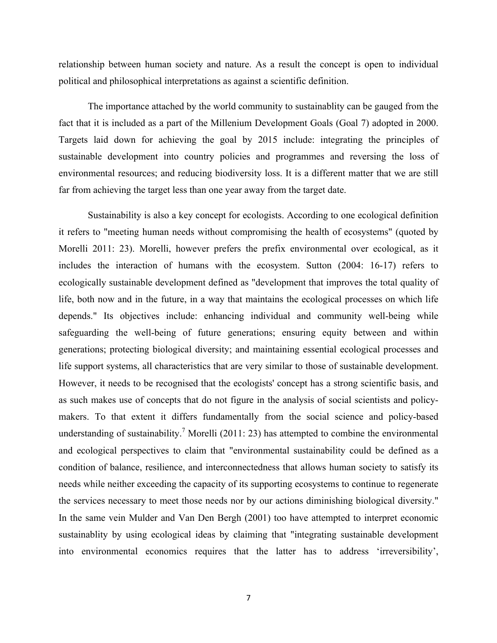relationship between human society and nature. As a result the concept is open to individual political and philosophical interpretations as against a scientific definition.

The importance attached by the world community to sustainablity can be gauged from the fact that it is included as a part of the Millenium Development Goals (Goal 7) adopted in 2000. Targets laid down for achieving the goal by 2015 include: integrating the principles of sustainable development into country policies and programmes and reversing the loss of environmental resources; and reducing biodiversity loss. It is a different matter that we are still far from achieving the target less than one year away from the target date.

Sustainability is also a key concept for ecologists. According to one ecological definition it refers to "meeting human needs without compromising the health of ecosystems" (quoted by Morelli 2011: 23). Morelli, however prefers the prefix environmental over ecological, as it includes the interaction of humans with the ecosystem. Sutton (2004: 16-17) refers to ecologically sustainable development defined as "development that improves the total quality of life, both now and in the future, in a way that maintains the ecological processes on which life depends." Its objectives include: enhancing individual and community well-being while safeguarding the well-being of future generations; ensuring equity between and within generations; protecting biological diversity; and maintaining essential ecological processes and life support systems, all characteristics that are very similar to those of sustainable development. However, it needs to be recognised that the ecologists' concept has a strong scientific basis, and as such makes use of concepts that do not figure in the analysis of social scientists and policymakers. To that extent it differs fundamentally from the social science and policy-based understanding of sustainability.<sup>7</sup> Morelli (2011: 23) has attempted to combine the environmental and ecological perspectives to claim that "environmental sustainability could be defined as a condition of balance, resilience, and interconnectedness that allows human society to satisfy its needs while neither exceeding the capacity of its supporting ecosystems to continue to regenerate the services necessary to meet those needs nor by our actions diminishing biological diversity." In the same vein Mulder and Van Den Bergh (2001) too have attempted to interpret economic sustainablity by using ecological ideas by claiming that "integrating sustainable development into environmental economics requires that the latter has to address 'irreversibility',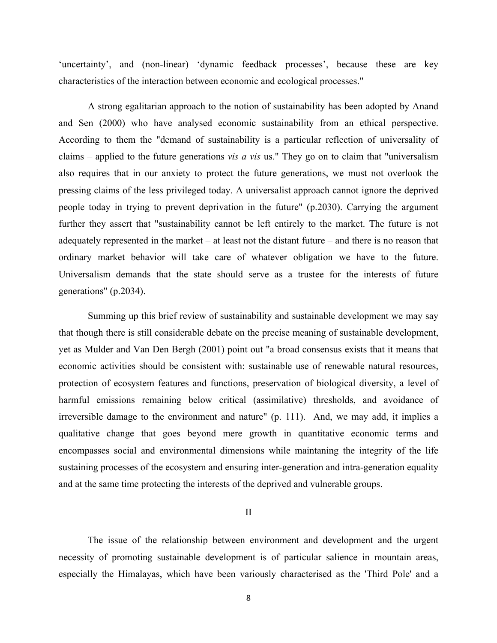'uncertainty', and (non-linear) 'dynamic feedback processes', because these are key characteristics of the interaction between economic and ecological processes."

A strong egalitarian approach to the notion of sustainability has been adopted by Anand and Sen (2000) who have analysed economic sustainability from an ethical perspective. According to them the "demand of sustainability is a particular reflection of universality of claims – applied to the future generations *vis a vis* us." They go on to claim that "universalism also requires that in our anxiety to protect the future generations, we must not overlook the pressing claims of the less privileged today. A universalist approach cannot ignore the deprived people today in trying to prevent deprivation in the future" (p.2030). Carrying the argument further they assert that "sustainability cannot be left entirely to the market. The future is not adequately represented in the market – at least not the distant future – and there is no reason that ordinary market behavior will take care of whatever obligation we have to the future. Universalism demands that the state should serve as a trustee for the interests of future generations" (p.2034).

Summing up this brief review of sustainability and sustainable development we may say that though there is still considerable debate on the precise meaning of sustainable development, yet as Mulder and Van Den Bergh (2001) point out "a broad consensus exists that it means that economic activities should be consistent with: sustainable use of renewable natural resources, protection of ecosystem features and functions, preservation of biological diversity, a level of harmful emissions remaining below critical (assimilative) thresholds, and avoidance of irreversible damage to the environment and nature" (p. 111). And, we may add, it implies a qualitative change that goes beyond mere growth in quantitative economic terms and encompasses social and environmental dimensions while maintaning the integrity of the life sustaining processes of the ecosystem and ensuring inter-generation and intra-generation equality and at the same time protecting the interests of the deprived and vulnerable groups.

II

The issue of the relationship between environment and development and the urgent necessity of promoting sustainable development is of particular salience in mountain areas, especially the Himalayas, which have been variously characterised as the 'Third Pole' and a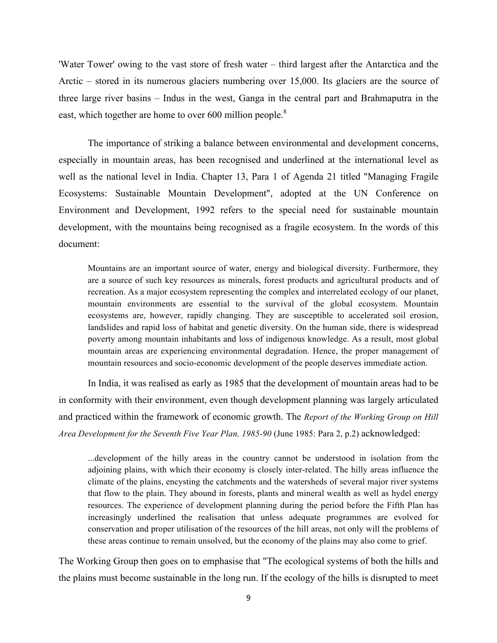'Water Tower' owing to the vast store of fresh water – third largest after the Antarctica and the Arctic – stored in its numerous glaciers numbering over 15,000. Its glaciers are the source of three large river basins – Indus in the west, Ganga in the central part and Brahmaputra in the east, which together are home to over 600 million people.<sup>8</sup>

The importance of striking a balance between environmental and development concerns, especially in mountain areas, has been recognised and underlined at the international level as well as the national level in India. Chapter 13, Para 1 of Agenda 21 titled "Managing Fragile Ecosystems: Sustainable Mountain Development", adopted at the UN Conference on Environment and Development, 1992 refers to the special need for sustainable mountain development, with the mountains being recognised as a fragile ecosystem. In the words of this document:

Mountains are an important source of water, energy and biological diversity. Furthermore, they are a source of such key resources as minerals, forest products and agricultural products and of recreation. As a major ecosystem representing the complex and interrelated ecology of our planet, mountain environments are essential to the survival of the global ecosystem. Mountain ecosystems are, however, rapidly changing. They are susceptible to accelerated soil erosion, landslides and rapid loss of habitat and genetic diversity. On the human side, there is widespread poverty among mountain inhabitants and loss of indigenous knowledge. As a result, most global mountain areas are experiencing environmental degradation. Hence, the proper management of mountain resources and socio-economic development of the people deserves immediate action.

In India, it was realised as early as 1985 that the development of mountain areas had to be in conformity with their environment, even though development planning was largely articulated and practiced within the framework of economic growth. The *Report of the Working Group on Hill Area Development for the Seventh Five Year Plan, 1985-90* (June 1985: Para 2, p.2) acknowledged:

...development of the hilly areas in the country cannot be understood in isolation from the adjoining plains, with which their economy is closely inter-related. The hilly areas influence the climate of the plains, encysting the catchments and the watersheds of several major river systems that flow to the plain. They abound in forests, plants and mineral wealth as well as hydel energy resources. The experience of development planning during the period before the Fifth Plan has increasingly underlined the realisation that unless adequate programmes are evolved for conservation and proper utilisation of the resources of the hill areas, not only will the problems of these areas continue to remain unsolved, but the economy of the plains may also come to grief.

The Working Group then goes on to emphasise that "The ecological systems of both the hills and the plains must become sustainable in the long run. If the ecology of the hills is disrupted to meet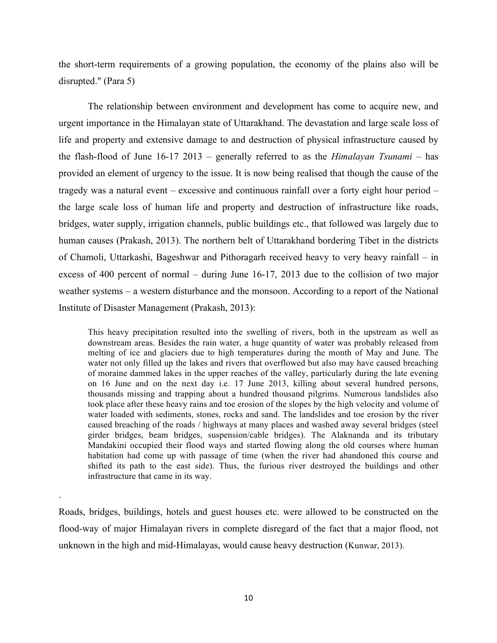the short-term requirements of a growing population, the economy of the plains also will be disrupted." (Para 5)

The relationship between environment and development has come to acquire new, and urgent importance in the Himalayan state of Uttarakhand. The devastation and large scale loss of life and property and extensive damage to and destruction of physical infrastructure caused by the flash-flood of June 16-17 2013 – generally referred to as the *Himalayan Tsunami* – has provided an element of urgency to the issue. It is now being realised that though the cause of the tragedy was a natural event – excessive and continuous rainfall over a forty eight hour period – the large scale loss of human life and property and destruction of infrastructure like roads, bridges, water supply, irrigation channels, public buildings etc., that followed was largely due to human causes (Prakash, 2013). The northern belt of Uttarakhand bordering Tibet in the districts of Chamoli, Uttarkashi, Bageshwar and Pithoragarh received heavy to very heavy rainfall – in excess of 400 percent of normal – during June 16-17, 2013 due to the collision of two major weather systems – a western disturbance and the monsoon. According to a report of the National Institute of Disaster Management (Prakash, 2013):

This heavy precipitation resulted into the swelling of rivers, both in the upstream as well as downstream areas. Besides the rain water, a huge quantity of water was probably released from melting of ice and glaciers due to high temperatures during the month of May and June. The water not only filled up the lakes and rivers that overflowed but also may have caused breaching of moraine dammed lakes in the upper reaches of the valley, particularly during the late evening on 16 June and on the next day i.e. 17 June 2013, killing about several hundred persons, thousands missing and trapping about a hundred thousand pilgrims. Numerous landslides also took place after these heavy rains and toe erosion of the slopes by the high velocity and volume of water loaded with sediments, stones, rocks and sand. The landslides and toe erosion by the river caused breaching of the roads / highways at many places and washed away several bridges (steel girder bridges, beam bridges, suspension/cable bridges). The Alaknanda and its tributary Mandakini occupied their flood ways and started flowing along the old courses where human habitation had come up with passage of time (when the river had abandoned this course and shifted its path to the east side). Thus, the furious river destroyed the buildings and other infrastructure that came in its way.

Roads, bridges, buildings, hotels and guest houses etc. were allowed to be constructed on the flood-way of major Himalayan rivers in complete disregard of the fact that a major flood, not unknown in the high and mid-Himalayas, would cause heavy destruction (Kunwar, 2013).

.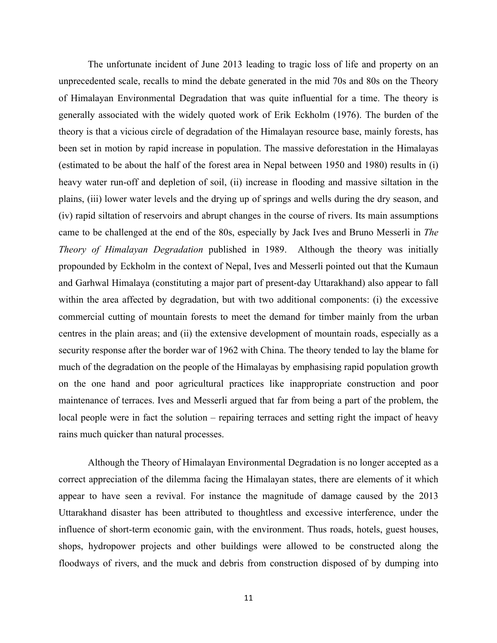The unfortunate incident of June 2013 leading to tragic loss of life and property on an unprecedented scale, recalls to mind the debate generated in the mid 70s and 80s on the Theory of Himalayan Environmental Degradation that was quite influential for a time. The theory is generally associated with the widely quoted work of Erik Eckholm (1976). The burden of the theory is that a vicious circle of degradation of the Himalayan resource base, mainly forests, has been set in motion by rapid increase in population. The massive deforestation in the Himalayas (estimated to be about the half of the forest area in Nepal between 1950 and 1980) results in (i) heavy water run-off and depletion of soil, (ii) increase in flooding and massive siltation in the plains, (iii) lower water levels and the drying up of springs and wells during the dry season, and (iv) rapid siltation of reservoirs and abrupt changes in the course of rivers. Its main assumptions came to be challenged at the end of the 80s, especially by Jack Ives and Bruno Messerli in *The Theory of Himalayan Degradation* published in 1989. Although the theory was initially propounded by Eckholm in the context of Nepal, Ives and Messerli pointed out that the Kumaun and Garhwal Himalaya (constituting a major part of present-day Uttarakhand) also appear to fall within the area affected by degradation, but with two additional components: (i) the excessive commercial cutting of mountain forests to meet the demand for timber mainly from the urban centres in the plain areas; and (ii) the extensive development of mountain roads, especially as a security response after the border war of 1962 with China. The theory tended to lay the blame for much of the degradation on the people of the Himalayas by emphasising rapid population growth on the one hand and poor agricultural practices like inappropriate construction and poor maintenance of terraces. Ives and Messerli argued that far from being a part of the problem, the local people were in fact the solution – repairing terraces and setting right the impact of heavy rains much quicker than natural processes.

Although the Theory of Himalayan Environmental Degradation is no longer accepted as a correct appreciation of the dilemma facing the Himalayan states, there are elements of it which appear to have seen a revival. For instance the magnitude of damage caused by the 2013 Uttarakhand disaster has been attributed to thoughtless and excessive interference, under the influence of short-term economic gain, with the environment. Thus roads, hotels, guest houses, shops, hydropower projects and other buildings were allowed to be constructed along the floodways of rivers, and the muck and debris from construction disposed of by dumping into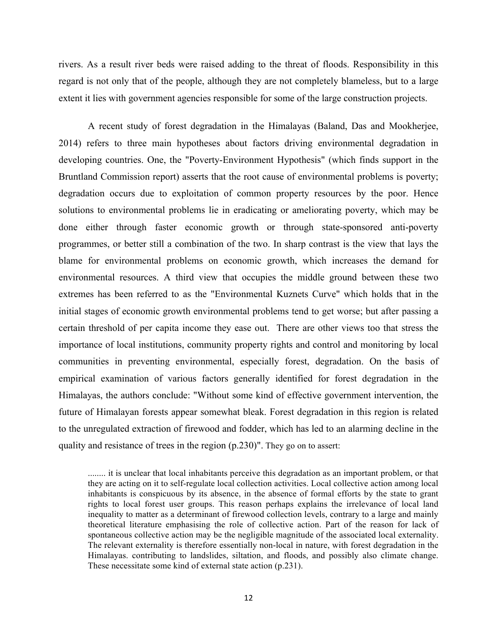rivers. As a result river beds were raised adding to the threat of floods. Responsibility in this regard is not only that of the people, although they are not completely blameless, but to a large extent it lies with government agencies responsible for some of the large construction projects.

A recent study of forest degradation in the Himalayas (Baland, Das and Mookherjee, 2014) refers to three main hypotheses about factors driving environmental degradation in developing countries. One, the "Poverty-Environment Hypothesis" (which finds support in the Bruntland Commission report) asserts that the root cause of environmental problems is poverty; degradation occurs due to exploitation of common property resources by the poor. Hence solutions to environmental problems lie in eradicating or ameliorating poverty, which may be done either through faster economic growth or through state-sponsored anti-poverty programmes, or better still a combination of the two. In sharp contrast is the view that lays the blame for environmental problems on economic growth, which increases the demand for environmental resources. A third view that occupies the middle ground between these two extremes has been referred to as the "Environmental Kuznets Curve" which holds that in the initial stages of economic growth environmental problems tend to get worse; but after passing a certain threshold of per capita income they ease out. There are other views too that stress the importance of local institutions, community property rights and control and monitoring by local communities in preventing environmental, especially forest, degradation. On the basis of empirical examination of various factors generally identified for forest degradation in the Himalayas, the authors conclude: "Without some kind of effective government intervention, the future of Himalayan forests appear somewhat bleak. Forest degradation in this region is related to the unregulated extraction of firewood and fodder, which has led to an alarming decline in the quality and resistance of trees in the region (p.230)". They go on to assert:

........ it is unclear that local inhabitants perceive this degradation as an important problem, or that they are acting on it to self-regulate local collection activities. Local collective action among local inhabitants is conspicuous by its absence, in the absence of formal efforts by the state to grant rights to local forest user groups. This reason perhaps explains the irrelevance of local land inequality to matter as a determinant of firewood collection levels, contrary to a large and mainly theoretical literature emphasising the role of collective action. Part of the reason for lack of spontaneous collective action may be the negligible magnitude of the associated local externality. The relevant externality is therefore essentially non-local in nature, with forest degradation in the Himalayas. contributing to landslides, siltation, and floods, and possibly also climate change. These necessitate some kind of external state action (p.231).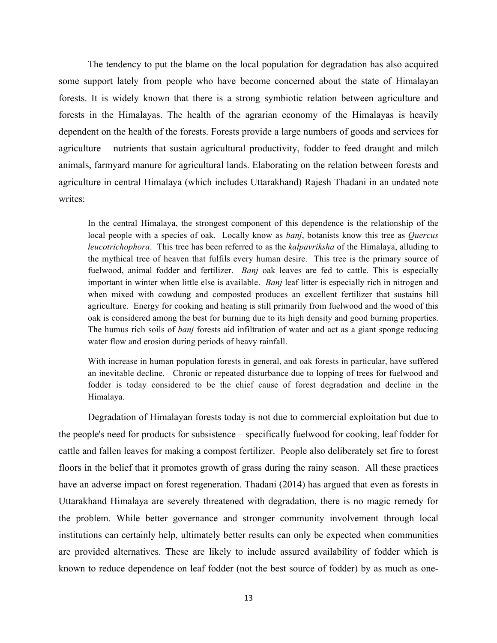The tendency to put the blame on the local population for degradation has also acquired some support lately from people who have become concerned about the state of Himalayan forests. It is widely known that there is a strong symbiotic relation between agriculture and forests in the Himalayas. The health of the agrarian economy of the Himalayas is heavily dependent on the health of the forests. Forests provide a large numbers of goods and services for agriculture – nutrients that sustain agricultural productivity, fodder to feed draught and milch animals, farmyard manure for agricultural lands. Elaborating on the relation between forests and agriculture in central Himalaya (which includes Uttarakhand) Rajesh Thadani in an undated note writes:

In the central Himalaya, the strongest component of this dependence is the relationship of the local people with a species of oak. Locally know as *banj*, botanists know this tree as *Quercus leucotrichophora*. This tree has been referred to as the *kalpavriksha* of the Himalaya, alluding to the mythical tree of heaven that fulfils every human desire. This tree is the primary source of fuelwood, animal fodder and fertilizer. *Banj* oak leaves are fed to cattle. This is especially important in winter when little else is available. *Banj* leaf litter is especially rich in nitrogen and when mixed with cowdung and composted produces an excellent fertilizer that sustains hill agriculture. Energy for cooking and heating is still primarily from fuelwood and the wood of this oak is considered among the best for burning due to its high density and good burning properties. The humus rich soils of *banj* forests aid infiltration of water and act as a giant sponge reducing water flow and erosion during periods of heavy rainfall.

With increase in human population forests in general, and oak forests in particular, have suffered an inevitable decline. Chronic or repeated disturbance due to lopping of trees for fuelwood and fodder is today considered to be the chief cause of forest degradation and decline in the Himalaya.

Degradation of Himalayan forests today is not due to commercial exploitation but due to the people's need for products for subsistence – specifically fuelwood for cooking, leaf fodder for cattle and fallen leaves for making a compost fertilizer. People also deliberately set fire to forest floors in the belief that it promotes growth of grass during the rainy season. All these practices have an adverse impact on forest regeneration. Thadani (2014) has argued that even as forests in Uttarakhand Himalaya are severely threatened with degradation, there is no magic remedy for the problem. While better governance and stronger community involvement through local institutions can certainly help, ultimately better results can only be expected when communities are provided alternatives. These are likely to include assured availability of fodder which is known to reduce dependence on leaf fodder (not the best source of fodder) by as much as one-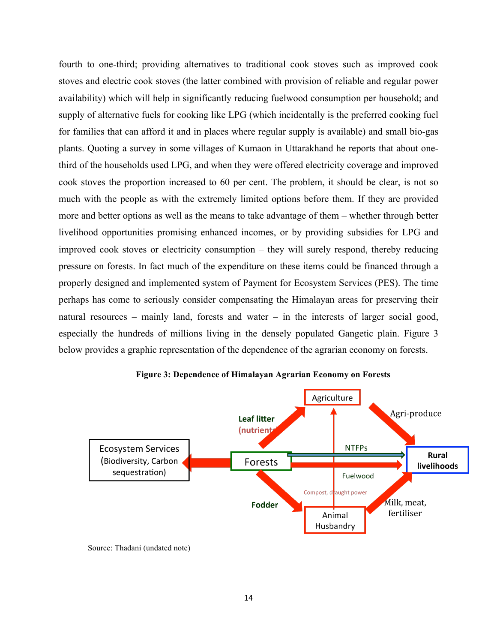fourth to one-third; providing alternatives to traditional cook stoves such as improved cook stoves and electric cook stoves (the latter combined with provision of reliable and regular power availability) which will help in significantly reducing fuelwood consumption per household; and supply of alternative fuels for cooking like LPG (which incidentally is the preferred cooking fuel for families that can afford it and in places where regular supply is available) and small bio-gas plants. Quoting a survey in some villages of Kumaon in Uttarakhand he reports that about onethird of the households used LPG, and when they were offered electricity coverage and improved cook stoves the proportion increased to 60 per cent. The problem, it should be clear, is not so much with the people as with the extremely limited options before them. If they are provided more and better options as well as the means to take advantage of them – whether through better livelihood opportunities promising enhanced incomes, or by providing subsidies for LPG and improved cook stoves or electricity consumption – they will surely respond, thereby reducing pressure on forests. In fact much of the expenditure on these items could be financed through a properly designed and implemented system of Payment for Ecosystem Services (PES). The time perhaps has come to seriously consider compensating the Himalayan areas for preserving their natural resources – mainly land, forests and water – in the interests of larger social good, especially the hundreds of millions living in the densely populated Gangetic plain. Figure 3 below provides a graphic representation of the dependence of the agrarian economy on forests.



**Figure 3: Dependence of Himalayan Agrarian Economy on Forests**

Source: Thadani (undated note)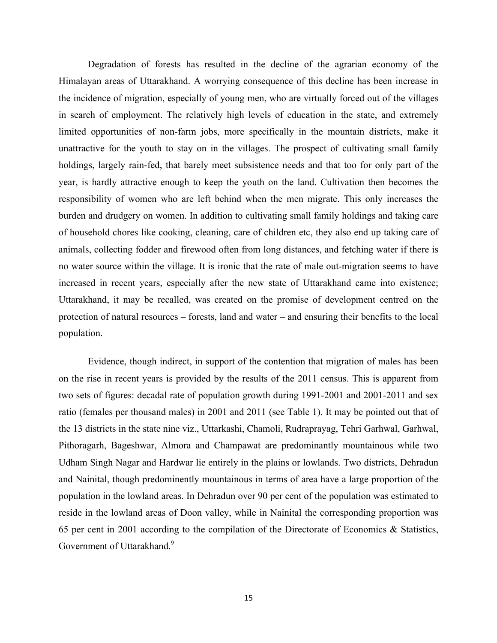Degradation of forests has resulted in the decline of the agrarian economy of the Himalayan areas of Uttarakhand. A worrying consequence of this decline has been increase in the incidence of migration, especially of young men, who are virtually forced out of the villages in search of employment. The relatively high levels of education in the state, and extremely limited opportunities of non-farm jobs, more specifically in the mountain districts, make it unattractive for the youth to stay on in the villages. The prospect of cultivating small family holdings, largely rain-fed, that barely meet subsistence needs and that too for only part of the year, is hardly attractive enough to keep the youth on the land. Cultivation then becomes the responsibility of women who are left behind when the men migrate. This only increases the burden and drudgery on women. In addition to cultivating small family holdings and taking care of household chores like cooking, cleaning, care of children etc, they also end up taking care of animals, collecting fodder and firewood often from long distances, and fetching water if there is no water source within the village. It is ironic that the rate of male out-migration seems to have increased in recent years, especially after the new state of Uttarakhand came into existence; Uttarakhand, it may be recalled, was created on the promise of development centred on the protection of natural resources – forests, land and water – and ensuring their benefits to the local population.

Evidence, though indirect, in support of the contention that migration of males has been on the rise in recent years is provided by the results of the 2011 census. This is apparent from two sets of figures: decadal rate of population growth during 1991-2001 and 2001-2011 and sex ratio (females per thousand males) in 2001 and 2011 (see Table 1). It may be pointed out that of the 13 districts in the state nine viz., Uttarkashi, Chamoli, Rudraprayag, Tehri Garhwal, Garhwal, Pithoragarh, Bageshwar, Almora and Champawat are predominantly mountainous while two Udham Singh Nagar and Hardwar lie entirely in the plains or lowlands. Two districts, Dehradun and Nainital, though predominently mountainous in terms of area have a large proportion of the population in the lowland areas. In Dehradun over 90 per cent of the population was estimated to reside in the lowland areas of Doon valley, while in Nainital the corresponding proportion was 65 per cent in 2001 according to the compilation of the Directorate of Economics & Statistics, Government of Uttarakhand.<sup>9</sup>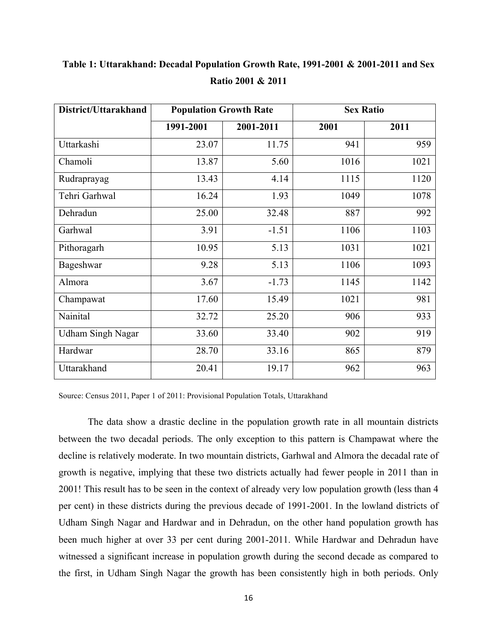| District/Uttarakhand     | <b>Population Growth Rate</b> |           | <b>Sex Ratio</b> |      |
|--------------------------|-------------------------------|-----------|------------------|------|
|                          | 1991-2001                     | 2001-2011 | 2001             | 2011 |
| Uttarkashi               | 23.07                         | 11.75     | 941              | 959  |
| Chamoli                  | 13.87                         | 5.60      | 1016             | 1021 |
| Rudraprayag              | 13.43                         | 4.14      | 1115             | 1120 |
| Tehri Garhwal            | 16.24                         | 1.93      | 1049             | 1078 |
| Dehradun                 | 25.00                         | 32.48     | 887              | 992  |
| Garhwal                  | 3.91                          | $-1.51$   | 1106             | 1103 |
| Pithoragarh              | 10.95                         | 5.13      | 1031             | 1021 |
| Bageshwar                | 9.28                          | 5.13      | 1106             | 1093 |
| Almora                   | 3.67                          | $-1.73$   | 1145             | 1142 |
| Champawat                | 17.60                         | 15.49     | 1021             | 981  |
| Nainital                 | 32.72                         | 25.20     | 906              | 933  |
| <b>Udham Singh Nagar</b> | 33.60                         | 33.40     | 902              | 919  |
| Hardwar                  | 28.70                         | 33.16     | 865              | 879  |
| Uttarakhand              | 20.41                         | 19.17     | 962              | 963  |

**Table 1: Uttarakhand: Decadal Population Growth Rate, 1991-2001 & 2001-2011 and Sex Ratio 2001 & 2011**

Source: Census 2011, Paper 1 of 2011: Provisional Population Totals, Uttarakhand

The data show a drastic decline in the population growth rate in all mountain districts between the two decadal periods. The only exception to this pattern is Champawat where the decline is relatively moderate. In two mountain districts, Garhwal and Almora the decadal rate of growth is negative, implying that these two districts actually had fewer people in 2011 than in 2001! This result has to be seen in the context of already very low population growth (less than 4 per cent) in these districts during the previous decade of 1991-2001. In the lowland districts of Udham Singh Nagar and Hardwar and in Dehradun, on the other hand population growth has been much higher at over 33 per cent during 2001-2011. While Hardwar and Dehradun have witnessed a significant increase in population growth during the second decade as compared to the first, in Udham Singh Nagar the growth has been consistently high in both periods. Only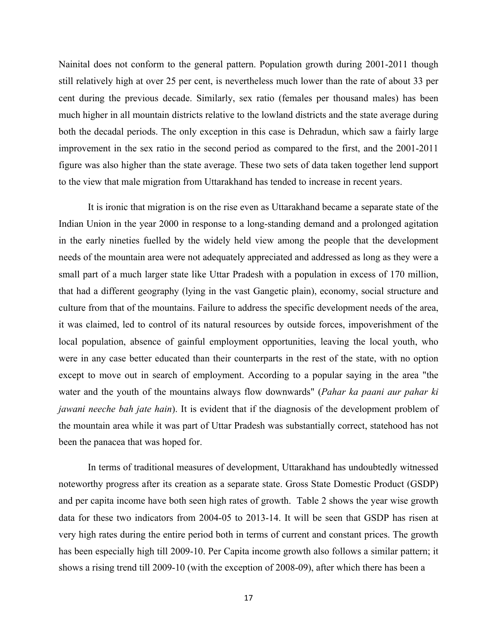Nainital does not conform to the general pattern. Population growth during 2001-2011 though still relatively high at over 25 per cent, is nevertheless much lower than the rate of about 33 per cent during the previous decade. Similarly, sex ratio (females per thousand males) has been much higher in all mountain districts relative to the lowland districts and the state average during both the decadal periods. The only exception in this case is Dehradun, which saw a fairly large improvement in the sex ratio in the second period as compared to the first, and the 2001-2011 figure was also higher than the state average. These two sets of data taken together lend support to the view that male migration from Uttarakhand has tended to increase in recent years.

It is ironic that migration is on the rise even as Uttarakhand became a separate state of the Indian Union in the year 2000 in response to a long-standing demand and a prolonged agitation in the early nineties fuelled by the widely held view among the people that the development needs of the mountain area were not adequately appreciated and addressed as long as they were a small part of a much larger state like Uttar Pradesh with a population in excess of 170 million, that had a different geography (lying in the vast Gangetic plain), economy, social structure and culture from that of the mountains. Failure to address the specific development needs of the area, it was claimed, led to control of its natural resources by outside forces, impoverishment of the local population, absence of gainful employment opportunities, leaving the local youth, who were in any case better educated than their counterparts in the rest of the state, with no option except to move out in search of employment. According to a popular saying in the area "the water and the youth of the mountains always flow downwards" (*Pahar ka paani aur pahar ki jawani neeche bah jate hain*). It is evident that if the diagnosis of the development problem of the mountain area while it was part of Uttar Pradesh was substantially correct, statehood has not been the panacea that was hoped for.

In terms of traditional measures of development, Uttarakhand has undoubtedly witnessed noteworthy progress after its creation as a separate state. Gross State Domestic Product (GSDP) and per capita income have both seen high rates of growth. Table 2 shows the year wise growth data for these two indicators from 2004-05 to 2013-14. It will be seen that GSDP has risen at very high rates during the entire period both in terms of current and constant prices. The growth has been especially high till 2009-10. Per Capita income growth also follows a similar pattern; it shows a rising trend till 2009-10 (with the exception of 2008-09), after which there has been a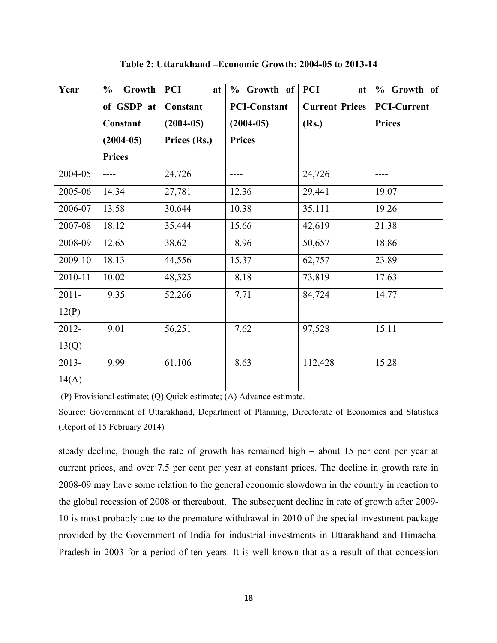| Year     | Growth<br>$\frac{0}{0}$ | <b>PCI</b><br>at | $%$ Growth of       | <b>PCI</b><br>at      | % Growth of        |
|----------|-------------------------|------------------|---------------------|-----------------------|--------------------|
|          | of GSDP at              | Constant         | <b>PCI-Constant</b> | <b>Current Prices</b> | <b>PCI-Current</b> |
|          | Constant                | $(2004-05)$      | $(2004-05)$         | (Rs.)                 | <b>Prices</b>      |
|          | $(2004-05)$             | Prices (Rs.)     | <b>Prices</b>       |                       |                    |
|          | <b>Prices</b>           |                  |                     |                       |                    |
| 2004-05  | ----                    | 24,726           | ----                | 24,726                |                    |
| 2005-06  | 14.34                   | 27,781           | 12.36               | 29,441                | 19.07              |
| 2006-07  | 13.58                   | 30,644           | 10.38               | 35,111                | 19.26              |
| 2007-08  | 18.12                   | 35,444           | 15.66               | 42,619                | 21.38              |
| 2008-09  | 12.65                   | 38,621           | 8.96                | 50,657                | 18.86              |
| 2009-10  | 18.13                   | 44,556           | 15.37               | 62,757                | 23.89              |
| 2010-11  | 10.02                   | 48,525           | 8.18                | 73,819                | 17.63              |
| $2011 -$ | 9.35                    | 52,266           | 7.71                | 84,724                | 14.77              |
| 12(P)    |                         |                  |                     |                       |                    |
| 2012-    | 9.01                    | 56,251           | 7.62                | 97,528                | 15.11              |
| 13(Q)    |                         |                  |                     |                       |                    |
| 2013-    | 9.99                    | 61,106           | 8.63                | 112,428               | 15.28              |
| 14(A)    |                         |                  |                     |                       |                    |

**Table 2: Uttarakhand –Economic Growth: 2004-05 to 2013-14**

(P) Provisional estimate; (Q) Quick estimate; (A) Advance estimate.

Source: Government of Uttarakhand, Department of Planning, Directorate of Economics and Statistics (Report of 15 February 2014)

steady decline, though the rate of growth has remained high – about 15 per cent per year at current prices, and over 7.5 per cent per year at constant prices. The decline in growth rate in 2008-09 may have some relation to the general economic slowdown in the country in reaction to the global recession of 2008 or thereabout. The subsequent decline in rate of growth after 2009- 10 is most probably due to the premature withdrawal in 2010 of the special investment package provided by the Government of India for industrial investments in Uttarakhand and Himachal Pradesh in 2003 for a period of ten years. It is well-known that as a result of that concession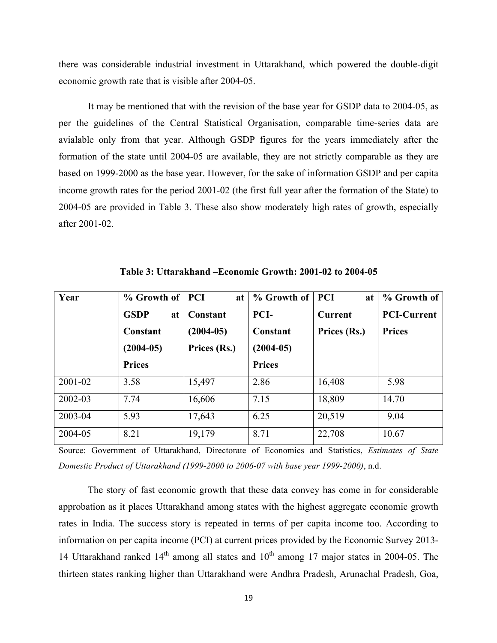there was considerable industrial investment in Uttarakhand, which powered the double-digit economic growth rate that is visible after 2004-05.

It may be mentioned that with the revision of the base year for GSDP data to 2004-05, as per the guidelines of the Central Statistical Organisation, comparable time-series data are avialable only from that year. Although GSDP figures for the years immediately after the formation of the state until 2004-05 are available, they are not strictly comparable as they are based on 1999-2000 as the base year. However, for the sake of information GSDP and per capita income growth rates for the period 2001-02 (the first full year after the formation of the State) to 2004-05 are provided in Table 3. These also show moderately high rates of growth, especially after 2001-02.

| Year    | % Growth of PCI   | at           | % Growth of   | <b>PCI</b><br>at | % Growth of        |
|---------|-------------------|--------------|---------------|------------------|--------------------|
|         | <b>GSDP</b><br>at | Constant     | PCI-          | <b>Current</b>   | <b>PCI-Current</b> |
|         | Constant          | $(2004-05)$  | Constant      | Prices (Rs.)     | <b>Prices</b>      |
|         | $(2004-05)$       | Prices (Rs.) | $(2004-05)$   |                  |                    |
|         | <b>Prices</b>     |              | <b>Prices</b> |                  |                    |
| 2001-02 | 3.58              | 15,497       | 2.86          | 16,408           | 5.98               |
| 2002-03 | 7.74              | 16,606       | 7.15          | 18,809           | 14.70              |
| 2003-04 | 5.93              | 17,643       | 6.25          | 20,519           | 9.04               |
| 2004-05 | 8.21              | 19,179       | 8.71          | 22,708           | 10.67              |

**Table 3: Uttarakhand –Economic Growth: 2001-02 to 2004-05**

Source: Government of Uttarakhand, Directorate of Economics and Statistics, *Estimates of State Domestic Product of Uttarakhand (1999-2000 to 2006-07 with base year 1999-2000)*, n.d.

The story of fast economic growth that these data convey has come in for considerable approbation as it places Uttarakhand among states with the highest aggregate economic growth rates in India. The success story is repeated in terms of per capita income too. According to information on per capita income (PCI) at current prices provided by the Economic Survey 2013- 14 Uttarakhand ranked  $14<sup>th</sup>$  among all states and  $10<sup>th</sup>$  among 17 major states in 2004-05. The thirteen states ranking higher than Uttarakhand were Andhra Pradesh, Arunachal Pradesh, Goa,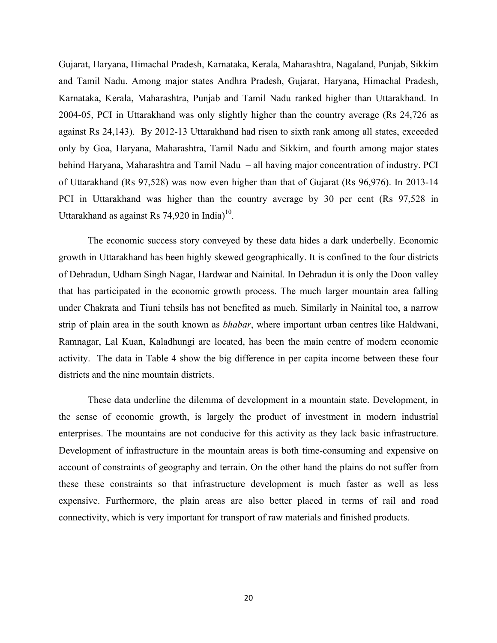Gujarat, Haryana, Himachal Pradesh, Karnataka, Kerala, Maharashtra, Nagaland, Punjab, Sikkim and Tamil Nadu. Among major states Andhra Pradesh, Gujarat, Haryana, Himachal Pradesh, Karnataka, Kerala, Maharashtra, Punjab and Tamil Nadu ranked higher than Uttarakhand. In 2004-05, PCI in Uttarakhand was only slightly higher than the country average (Rs 24,726 as against Rs 24,143). By 2012-13 Uttarakhand had risen to sixth rank among all states, exceeded only by Goa, Haryana, Maharashtra, Tamil Nadu and Sikkim, and fourth among major states behind Haryana, Maharashtra and Tamil Nadu – all having major concentration of industry. PCI of Uttarakhand (Rs 97,528) was now even higher than that of Gujarat (Rs 96,976). In 2013-14 PCI in Uttarakhand was higher than the country average by 30 per cent (Rs 97,528 in Uttarakhand as against Rs 74,920 in India) $10$ .

The economic success story conveyed by these data hides a dark underbelly. Economic growth in Uttarakhand has been highly skewed geographically. It is confined to the four districts of Dehradun, Udham Singh Nagar, Hardwar and Nainital. In Dehradun it is only the Doon valley that has participated in the economic growth process. The much larger mountain area falling under Chakrata and Tiuni tehsils has not benefited as much. Similarly in Nainital too, a narrow strip of plain area in the south known as *bhabar*, where important urban centres like Haldwani, Ramnagar, Lal Kuan, Kaladhungi are located, has been the main centre of modern economic activity. The data in Table 4 show the big difference in per capita income between these four districts and the nine mountain districts.

These data underline the dilemma of development in a mountain state. Development, in the sense of economic growth, is largely the product of investment in modern industrial enterprises. The mountains are not conducive for this activity as they lack basic infrastructure. Development of infrastructure in the mountain areas is both time-consuming and expensive on account of constraints of geography and terrain. On the other hand the plains do not suffer from these these constraints so that infrastructure development is much faster as well as less expensive. Furthermore, the plain areas are also better placed in terms of rail and road connectivity, which is very important for transport of raw materials and finished products.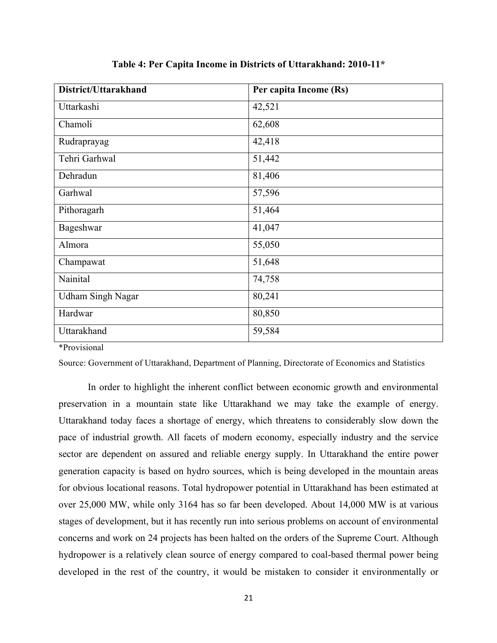| District/Uttarakhand     | Per capita Income (Rs) |
|--------------------------|------------------------|
| Uttarkashi               | 42,521                 |
| Chamoli                  | 62,608                 |
| Rudraprayag              | 42,418                 |
| Tehri Garhwal            | 51,442                 |
| Dehradun                 | 81,406                 |
| Garhwal                  | 57,596                 |
| Pithoragarh              | 51,464                 |
| Bageshwar                | 41,047                 |
| Almora                   | 55,050                 |
| Champawat                | 51,648                 |
| Nainital                 | 74,758                 |
| <b>Udham Singh Nagar</b> | 80,241                 |
| Hardwar                  | 80,850                 |
| Uttarakhand              | 59,584                 |

**Table 4: Per Capita Income in Districts of Uttarakhand: 2010-11\***

\*Provisional

Source: Government of Uttarakhand, Department of Planning, Directorate of Economics and Statistics

In order to highlight the inherent conflict between economic growth and environmental preservation in a mountain state like Uttarakhand we may take the example of energy. Uttarakhand today faces a shortage of energy, which threatens to considerably slow down the pace of industrial growth. All facets of modern economy, especially industry and the service sector are dependent on assured and reliable energy supply. In Uttarakhand the entire power generation capacity is based on hydro sources, which is being developed in the mountain areas for obvious locational reasons. Total hydropower potential in Uttarakhand has been estimated at over 25,000 MW, while only 3164 has so far been developed. About 14,000 MW is at various stages of development, but it has recently run into serious problems on account of environmental concerns and work on 24 projects has been halted on the orders of the Supreme Court. Although hydropower is a relatively clean source of energy compared to coal-based thermal power being developed in the rest of the country, it would be mistaken to consider it environmentally or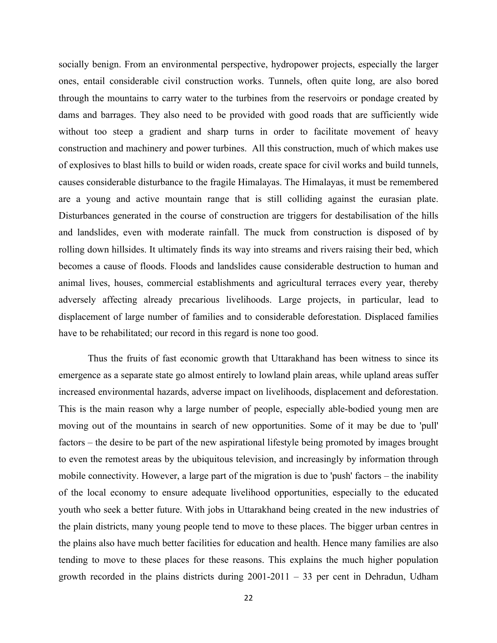socially benign. From an environmental perspective, hydropower projects, especially the larger ones, entail considerable civil construction works. Tunnels, often quite long, are also bored through the mountains to carry water to the turbines from the reservoirs or pondage created by dams and barrages. They also need to be provided with good roads that are sufficiently wide without too steep a gradient and sharp turns in order to facilitate movement of heavy construction and machinery and power turbines. All this construction, much of which makes use of explosives to blast hills to build or widen roads, create space for civil works and build tunnels, causes considerable disturbance to the fragile Himalayas. The Himalayas, it must be remembered are a young and active mountain range that is still colliding against the eurasian plate. Disturbances generated in the course of construction are triggers for destabilisation of the hills and landslides, even with moderate rainfall. The muck from construction is disposed of by rolling down hillsides. It ultimately finds its way into streams and rivers raising their bed, which becomes a cause of floods. Floods and landslides cause considerable destruction to human and animal lives, houses, commercial establishments and agricultural terraces every year, thereby adversely affecting already precarious livelihoods. Large projects, in particular, lead to displacement of large number of families and to considerable deforestation. Displaced families have to be rehabilitated; our record in this regard is none too good.

Thus the fruits of fast economic growth that Uttarakhand has been witness to since its emergence as a separate state go almost entirely to lowland plain areas, while upland areas suffer increased environmental hazards, adverse impact on livelihoods, displacement and deforestation. This is the main reason why a large number of people, especially able-bodied young men are moving out of the mountains in search of new opportunities. Some of it may be due to 'pull' factors – the desire to be part of the new aspirational lifestyle being promoted by images brought to even the remotest areas by the ubiquitous television, and increasingly by information through mobile connectivity. However, a large part of the migration is due to 'push' factors – the inability of the local economy to ensure adequate livelihood opportunities, especially to the educated youth who seek a better future. With jobs in Uttarakhand being created in the new industries of the plain districts, many young people tend to move to these places. The bigger urban centres in the plains also have much better facilities for education and health. Hence many families are also tending to move to these places for these reasons. This explains the much higher population growth recorded in the plains districts during 2001-2011 – 33 per cent in Dehradun, Udham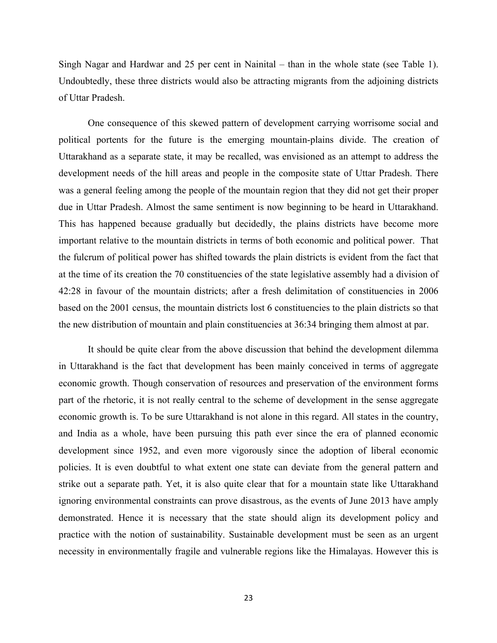Singh Nagar and Hardwar and 25 per cent in Nainital – than in the whole state (see Table 1). Undoubtedly, these three districts would also be attracting migrants from the adjoining districts of Uttar Pradesh.

One consequence of this skewed pattern of development carrying worrisome social and political portents for the future is the emerging mountain-plains divide. The creation of Uttarakhand as a separate state, it may be recalled, was envisioned as an attempt to address the development needs of the hill areas and people in the composite state of Uttar Pradesh. There was a general feeling among the people of the mountain region that they did not get their proper due in Uttar Pradesh. Almost the same sentiment is now beginning to be heard in Uttarakhand. This has happened because gradually but decidedly, the plains districts have become more important relative to the mountain districts in terms of both economic and political power. That the fulcrum of political power has shifted towards the plain districts is evident from the fact that at the time of its creation the 70 constituencies of the state legislative assembly had a division of 42:28 in favour of the mountain districts; after a fresh delimitation of constituencies in 2006 based on the 2001 census, the mountain districts lost 6 constituencies to the plain districts so that the new distribution of mountain and plain constituencies at 36:34 bringing them almost at par.

It should be quite clear from the above discussion that behind the development dilemma in Uttarakhand is the fact that development has been mainly conceived in terms of aggregate economic growth. Though conservation of resources and preservation of the environment forms part of the rhetoric, it is not really central to the scheme of development in the sense aggregate economic growth is. To be sure Uttarakhand is not alone in this regard. All states in the country, and India as a whole, have been pursuing this path ever since the era of planned economic development since 1952, and even more vigorously since the adoption of liberal economic policies. It is even doubtful to what extent one state can deviate from the general pattern and strike out a separate path. Yet, it is also quite clear that for a mountain state like Uttarakhand ignoring environmental constraints can prove disastrous, as the events of June 2013 have amply demonstrated. Hence it is necessary that the state should align its development policy and practice with the notion of sustainability. Sustainable development must be seen as an urgent necessity in environmentally fragile and vulnerable regions like the Himalayas. However this is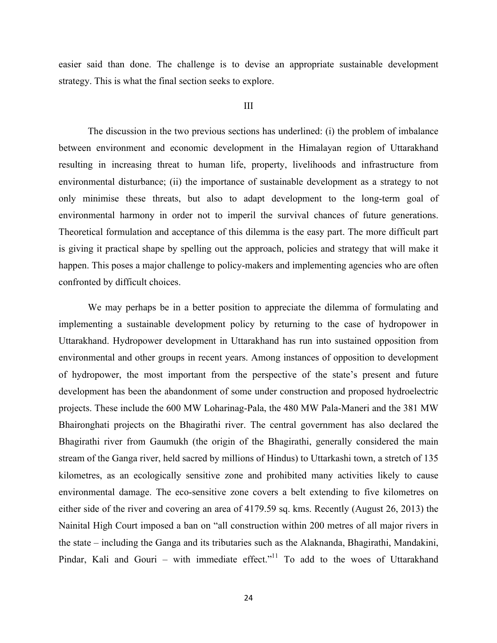easier said than done. The challenge is to devise an appropriate sustainable development strategy. This is what the final section seeks to explore.

#### III

The discussion in the two previous sections has underlined: (i) the problem of imbalance between environment and economic development in the Himalayan region of Uttarakhand resulting in increasing threat to human life, property, livelihoods and infrastructure from environmental disturbance; (ii) the importance of sustainable development as a strategy to not only minimise these threats, but also to adapt development to the long-term goal of environmental harmony in order not to imperil the survival chances of future generations. Theoretical formulation and acceptance of this dilemma is the easy part. The more difficult part is giving it practical shape by spelling out the approach, policies and strategy that will make it happen. This poses a major challenge to policy-makers and implementing agencies who are often confronted by difficult choices.

We may perhaps be in a better position to appreciate the dilemma of formulating and implementing a sustainable development policy by returning to the case of hydropower in Uttarakhand. Hydropower development in Uttarakhand has run into sustained opposition from environmental and other groups in recent years. Among instances of opposition to development of hydropower, the most important from the perspective of the state's present and future development has been the abandonment of some under construction and proposed hydroelectric projects. These include the 600 MW Loharinag-Pala, the 480 MW Pala-Maneri and the 381 MW Bhaironghati projects on the Bhagirathi river. The central government has also declared the Bhagirathi river from Gaumukh (the origin of the Bhagirathi, generally considered the main stream of the Ganga river, held sacred by millions of Hindus) to Uttarkashi town, a stretch of 135 kilometres, as an ecologically sensitive zone and prohibited many activities likely to cause environmental damage. The eco-sensitive zone covers a belt extending to five kilometres on either side of the river and covering an area of 4179.59 sq. kms. Recently (August 26, 2013) the Nainital High Court imposed a ban on "all construction within 200 metres of all major rivers in the state – including the Ganga and its tributaries such as the Alaknanda, Bhagirathi, Mandakini, Pindar, Kali and Gouri – with immediate effect."<sup>11</sup> To add to the woes of Uttarakhand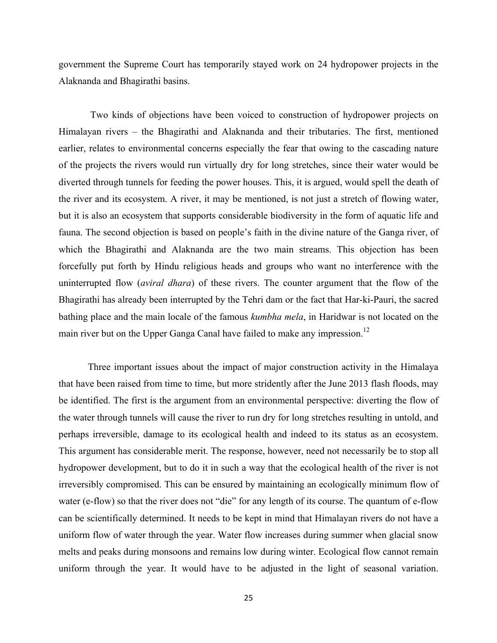government the Supreme Court has temporarily stayed work on 24 hydropower projects in the Alaknanda and Bhagirathi basins.

Two kinds of objections have been voiced to construction of hydropower projects on Himalayan rivers – the Bhagirathi and Alaknanda and their tributaries. The first, mentioned earlier, relates to environmental concerns especially the fear that owing to the cascading nature of the projects the rivers would run virtually dry for long stretches, since their water would be diverted through tunnels for feeding the power houses. This, it is argued, would spell the death of the river and its ecosystem. A river, it may be mentioned, is not just a stretch of flowing water, but it is also an ecosystem that supports considerable biodiversity in the form of aquatic life and fauna. The second objection is based on people's faith in the divine nature of the Ganga river, of which the Bhagirathi and Alaknanda are the two main streams. This objection has been forcefully put forth by Hindu religious heads and groups who want no interference with the uninterrupted flow (*aviral dhara*) of these rivers. The counter argument that the flow of the Bhagirathi has already been interrupted by the Tehri dam or the fact that Har-ki-Pauri, the sacred bathing place and the main locale of the famous *kumbha mela*, in Haridwar is not located on the main river but on the Upper Ganga Canal have failed to make any impression.<sup>12</sup>

Three important issues about the impact of major construction activity in the Himalaya that have been raised from time to time, but more stridently after the June 2013 flash floods, may be identified. The first is the argument from an environmental perspective: diverting the flow of the water through tunnels will cause the river to run dry for long stretches resulting in untold, and perhaps irreversible, damage to its ecological health and indeed to its status as an ecosystem. This argument has considerable merit. The response, however, need not necessarily be to stop all hydropower development, but to do it in such a way that the ecological health of the river is not irreversibly compromised. This can be ensured by maintaining an ecologically minimum flow of water (e-flow) so that the river does not "die" for any length of its course. The quantum of e-flow can be scientifically determined. It needs to be kept in mind that Himalayan rivers do not have a uniform flow of water through the year. Water flow increases during summer when glacial snow melts and peaks during monsoons and remains low during winter. Ecological flow cannot remain uniform through the year. It would have to be adjusted in the light of seasonal variation.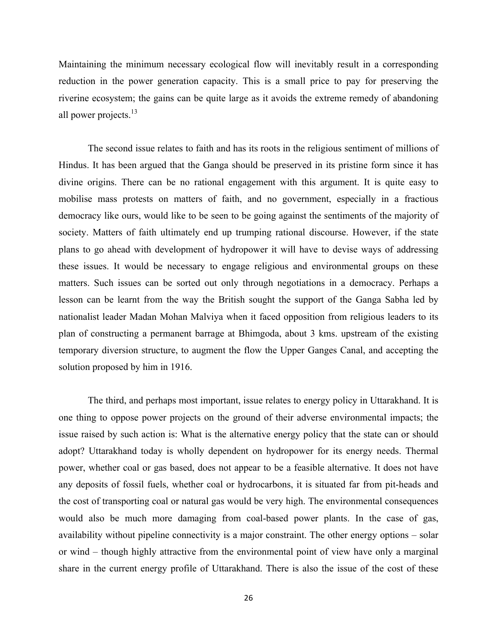Maintaining the minimum necessary ecological flow will inevitably result in a corresponding reduction in the power generation capacity. This is a small price to pay for preserving the riverine ecosystem; the gains can be quite large as it avoids the extreme remedy of abandoning all power projects. $^{13}$ 

The second issue relates to faith and has its roots in the religious sentiment of millions of Hindus. It has been argued that the Ganga should be preserved in its pristine form since it has divine origins. There can be no rational engagement with this argument. It is quite easy to mobilise mass protests on matters of faith, and no government, especially in a fractious democracy like ours, would like to be seen to be going against the sentiments of the majority of society. Matters of faith ultimately end up trumping rational discourse. However, if the state plans to go ahead with development of hydropower it will have to devise ways of addressing these issues. It would be necessary to engage religious and environmental groups on these matters. Such issues can be sorted out only through negotiations in a democracy. Perhaps a lesson can be learnt from the way the British sought the support of the Ganga Sabha led by nationalist leader Madan Mohan Malviya when it faced opposition from religious leaders to its plan of constructing a permanent barrage at Bhimgoda, about 3 kms. upstream of the existing temporary diversion structure, to augment the flow the Upper Ganges Canal, and accepting the solution proposed by him in 1916.

The third, and perhaps most important, issue relates to energy policy in Uttarakhand. It is one thing to oppose power projects on the ground of their adverse environmental impacts; the issue raised by such action is: What is the alternative energy policy that the state can or should adopt? Uttarakhand today is wholly dependent on hydropower for its energy needs. Thermal power, whether coal or gas based, does not appear to be a feasible alternative. It does not have any deposits of fossil fuels, whether coal or hydrocarbons, it is situated far from pit-heads and the cost of transporting coal or natural gas would be very high. The environmental consequences would also be much more damaging from coal-based power plants. In the case of gas, availability without pipeline connectivity is a major constraint. The other energy options – solar or wind – though highly attractive from the environmental point of view have only a marginal share in the current energy profile of Uttarakhand. There is also the issue of the cost of these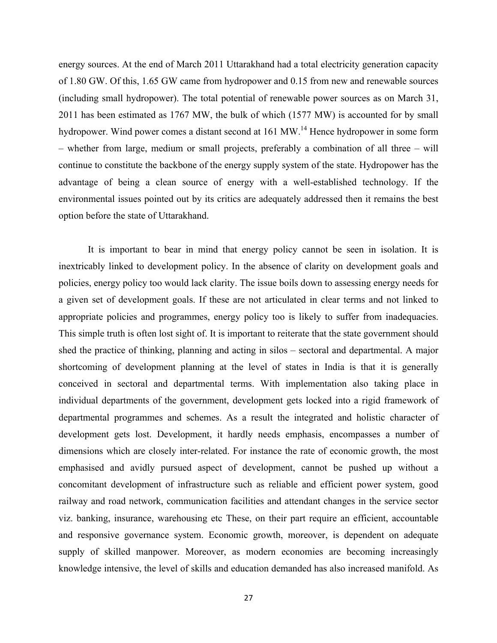energy sources. At the end of March 2011 Uttarakhand had a total electricity generation capacity of 1.80 GW. Of this, 1.65 GW came from hydropower and 0.15 from new and renewable sources (including small hydropower). The total potential of renewable power sources as on March 31, 2011 has been estimated as 1767 MW, the bulk of which (1577 MW) is accounted for by small hydropower. Wind power comes a distant second at 161 MW.<sup>14</sup> Hence hydropower in some form – whether from large, medium or small projects, preferably a combination of all three – will continue to constitute the backbone of the energy supply system of the state. Hydropower has the advantage of being a clean source of energy with a well-established technology. If the environmental issues pointed out by its critics are adequately addressed then it remains the best option before the state of Uttarakhand.

It is important to bear in mind that energy policy cannot be seen in isolation. It is inextricably linked to development policy. In the absence of clarity on development goals and policies, energy policy too would lack clarity. The issue boils down to assessing energy needs for a given set of development goals. If these are not articulated in clear terms and not linked to appropriate policies and programmes, energy policy too is likely to suffer from inadequacies. This simple truth is often lost sight of. It is important to reiterate that the state government should shed the practice of thinking, planning and acting in silos – sectoral and departmental. A major shortcoming of development planning at the level of states in India is that it is generally conceived in sectoral and departmental terms. With implementation also taking place in individual departments of the government, development gets locked into a rigid framework of departmental programmes and schemes. As a result the integrated and holistic character of development gets lost. Development, it hardly needs emphasis, encompasses a number of dimensions which are closely inter-related. For instance the rate of economic growth, the most emphasised and avidly pursued aspect of development, cannot be pushed up without a concomitant development of infrastructure such as reliable and efficient power system, good railway and road network, communication facilities and attendant changes in the service sector viz. banking, insurance, warehousing etc These, on their part require an efficient, accountable and responsive governance system. Economic growth, moreover, is dependent on adequate supply of skilled manpower. Moreover, as modern economies are becoming increasingly knowledge intensive, the level of skills and education demanded has also increased manifold. As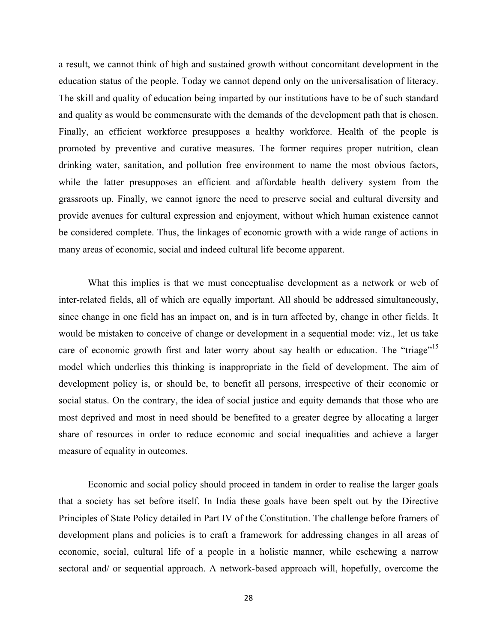a result, we cannot think of high and sustained growth without concomitant development in the education status of the people. Today we cannot depend only on the universalisation of literacy. The skill and quality of education being imparted by our institutions have to be of such standard and quality as would be commensurate with the demands of the development path that is chosen. Finally, an efficient workforce presupposes a healthy workforce. Health of the people is promoted by preventive and curative measures. The former requires proper nutrition, clean drinking water, sanitation, and pollution free environment to name the most obvious factors, while the latter presupposes an efficient and affordable health delivery system from the grassroots up. Finally, we cannot ignore the need to preserve social and cultural diversity and provide avenues for cultural expression and enjoyment, without which human existence cannot be considered complete. Thus, the linkages of economic growth with a wide range of actions in many areas of economic, social and indeed cultural life become apparent.

What this implies is that we must conceptualise development as a network or web of inter-related fields, all of which are equally important. All should be addressed simultaneously, since change in one field has an impact on, and is in turn affected by, change in other fields. It would be mistaken to conceive of change or development in a sequential mode: viz., let us take care of economic growth first and later worry about say health or education. The "triage"<sup>15</sup> model which underlies this thinking is inappropriate in the field of development. The aim of development policy is, or should be, to benefit all persons, irrespective of their economic or social status. On the contrary, the idea of social justice and equity demands that those who are most deprived and most in need should be benefited to a greater degree by allocating a larger share of resources in order to reduce economic and social inequalities and achieve a larger measure of equality in outcomes.

Economic and social policy should proceed in tandem in order to realise the larger goals that a society has set before itself. In India these goals have been spelt out by the Directive Principles of State Policy detailed in Part IV of the Constitution. The challenge before framers of development plans and policies is to craft a framework for addressing changes in all areas of economic, social, cultural life of a people in a holistic manner, while eschewing a narrow sectoral and/ or sequential approach. A network-based approach will, hopefully, overcome the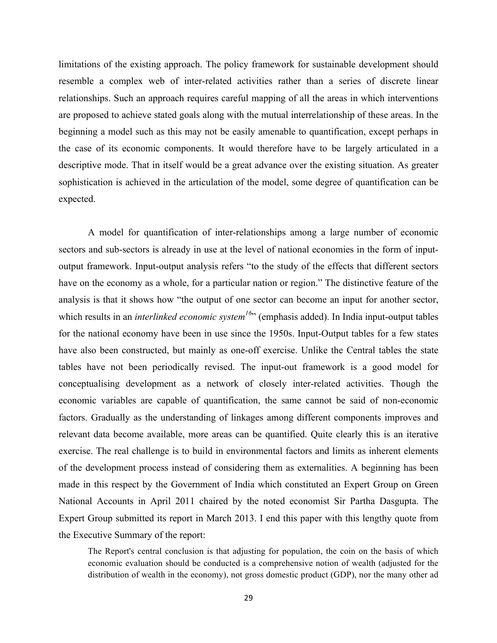limitations of the existing approach. The policy framework for sustainable development should resemble a complex web of inter-related activities rather than a series of discrete linear relationships. Such an approach requires careful mapping of all the areas in which interventions are proposed to achieve stated goals along with the mutual interrelationship of these areas. In the beginning a model such as this may not be easily amenable to quantification, except perhaps in the case of its economic components. It would therefore have to be largely articulated in a descriptive mode. That in itself would be a great advance over the existing situation. As greater sophistication is achieved in the articulation of the model, some degree of quantification can be expected.

A model for quantification of inter-relationships among a large number of economic sectors and sub-sectors is already in use at the level of national economies in the form of inputoutput framework. Input-output analysis refers "to the study of the effects that different sectors have on the economy as a whole, for a particular nation or region." The distinctive feature of the analysis is that it shows how "the output of one sector can become an input for another sector, which results in an *interlinked economic system<sup>16</sup>*" (emphasis added). In India input-output tables for the national economy have been in use since the 1950s. Input-Output tables for a few states have also been constructed, but mainly as one-off exercise. Unlike the Central tables the state tables have not been periodically revised. The input-out framework is a good model for conceptualising development as a network of closely inter-related activities. Though the economic variables are capable of quantification, the same cannot be said of non-economic factors. Gradually as the understanding of linkages among different components improves and relevant data become available, more areas can be quantified. Quite clearly this is an iterative exercise. The real challenge is to build in environmental factors and limits as inherent elements of the development process instead of considering them as externalities. A beginning has been made in this respect by the Government of India which constituted an Expert Group on Green National Accounts in April 2011 chaired by the noted economist Sir Partha Dasgupta. The Expert Group submitted its report in March 2013. I end this paper with this lengthy quote from the Executive Summary of the report:

The Report's central conclusion is that adjusting for population, the coin on the basis of which economic evaluation should be conducted is a comprehensive notion of wealth (adjusted for the distribution of wealth in the economy), not gross domestic product (GDP), nor the many other ad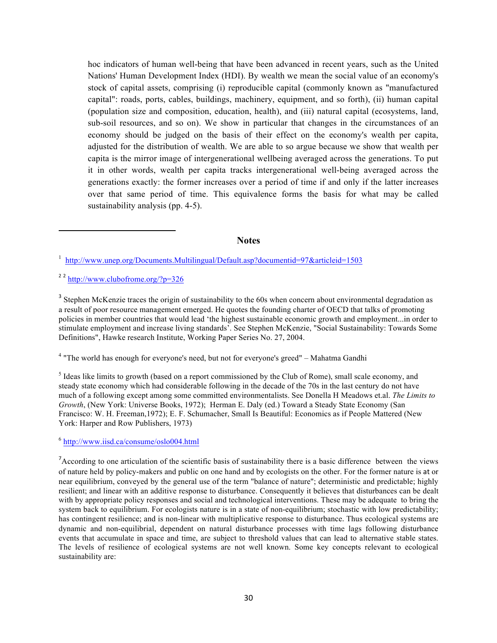hoc indicators of human well-being that have been advanced in recent years, such as the United Nations' Human Development Index (HDI). By wealth we mean the social value of an economy's stock of capital assets, comprising (i) reproducible capital (commonly known as "manufactured capital": roads, ports, cables, buildings, machinery, equipment, and so forth), (ii) human capital (population size and composition, education, health), and (iii) natural capital (ecosystems, land, sub-soil resources, and so on). We show in particular that changes in the circumstances of an economy should be judged on the basis of their effect on the economy's wealth per capita, adjusted for the distribution of wealth. We are able to so argue because we show that wealth per capita is the mirror image of intergenerational wellbeing averaged across the generations. To put it in other words, wealth per capita tracks intergenerational well-being averaged across the generations exactly: the former increases over a period of time if and only if the latter increases over that same period of time. This equivalence forms the basis for what may be called sustainability analysis (pp. 4-5).

#### **Notes**

<sup>2 2</sup> http://www.clubofrome.org/?p=326

<u> 1989 - Johann Stein, fransk politik (d. 1989)</u>

<sup>3</sup> Stephen McKenzie traces the origin of sustainability to the 60s when concern about environmental degradation as a result of poor resource management emerged. He quotes the founding charter of OECD that talks of promoting policies in member countries that would lead 'the highest sustainable economic growth and employment...in order to stimulate employment and increase living standards'. See Stephen McKenzie, "Social Sustainability: Towards Some Definitions", Hawke research Institute, Working Paper Series No. 27, 2004.

<sup>4</sup> "The world has enough for everyone's need, but not for everyone's greed" – Mahatma Gandhi

<sup>5</sup> Ideas like limits to growth (based on a report commissioned by the Club of Rome), small scale economy, and steady state economy which had considerable following in the decade of the 70s in the last century do not have much of a following except among some committed environmentalists. See Donella H Meadows et.al. *The Limits to Growth*, (New York: Universe Books, 1972); Herman E. Daly (ed.) Toward a Steady State Economy (San Francisco: W. H. Freeman,1972); E. F. Schumacher, Small Is Beautiful: Economics as if People Mattered (New York: Harper and Row Publishers, 1973)

<sup>6</sup> http://www.iisd.ca/consume/oslo004.html

<sup>7</sup> According to one articulation of the scientific basis of sustainability there is a basic difference between the views of nature held by policy-makers and public on one hand and by ecologists on the other. For the former nature is at or near equilibrium, conveyed by the general use of the term "balance of nature"; deterministic and predictable; highly resilient; and linear with an additive response to disturbance. Consequently it believes that disturbances can be dealt with by appropriate policy responses and social and technological interventions. These may be adequate to bring the system back to equilibrium. For ecologists nature is in a state of non-equilibrium; stochastic with low predictability; has contingent resilience; and is non-linear with multiplicative response to disturbance. Thus ecological systems are dynamic and non-equilibrial, dependent on natural disturbance processes with time lags following disturbance events that accumulate in space and time, are subject to threshold values that can lead to alternative stable states. The levels of resilience of ecological systems are not well known. Some key concepts relevant to ecological sustainability are:

<sup>&</sup>lt;sup>1</sup> http://www.unep.org/Documents.Multilingual/Default.asp?documentid=97&articleid=1503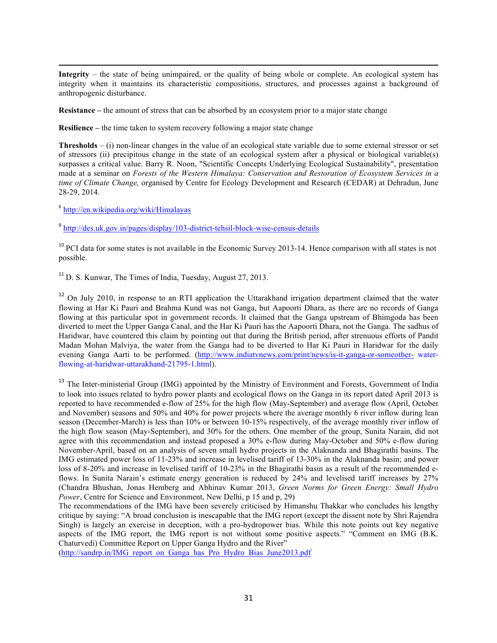**Integrity** – the state of being unimpaired, or the quality of being whole or complete. An ecological system has integrity when it maintains its characteristic compositions, structures, and processes against a background of anthropogenic disturbance.

<u> 1989 - Andrea Santa Andrea Andrea Andrea Andrea Andrea Andrea Andrea Andrea Andrea Andrea Andrea Andrea Andr</u>

**Resistance –** the amount of stress that can be absorbed by an ecosystem prior to a major state change

**Resilience –** the time taken to system recovery following a major state change

**Thresholds** – (i) non-linear changes in the value of an ecological state variable due to some external stressor or set of stressors (ii) precipitous change in the state of an ecological system after a physical or biological variable(s) surpasses a critical value. Barry R. Noon, "Scientific Concepts Underlying Ecological Sustainability", presentation made at a seminar on *Forests of the Western Himalaya: Conservation and Restoration of Ecosystem Services in a time of Climate Change,* organised by Centre for Ecology Development and Research (CEDAR) at Dehradun, June 28-29, 2014.

<sup>8</sup> http://en.wikipedia.org/wiki/Himalayas

<sup>9</sup> http://des.uk.gov.in/pages/display/103-district-tehsil-block-wise-census-details

 $10$  PCI data for some states is not available in the Economic Survey 2013-14. Hence comparison with all states is not possible.

<sup>11</sup> D. S. Kunwar, The Times of India, Tuesday, August 27, 2013.

<sup>12</sup> On July 2010, in response to an RTI application the Uttarakhand irrigation department claimed that the water flowing at Har Ki Pauri and Brahma Kund was not Ganga, but Aapoorti Dhara, as there are no records of Ganga flowing at this particular spot in government records. It claimed that the Ganga upstream of Bhimgoda has been diverted to meet the Upper Ganga Canal, and the Har Ki Pauri has the Aapoorti Dhara, not the Ganga. The sadhus of Haridwar, have countered this claim by pointing out that during the British period, after strenuous efforts of Pandit Madan Mohan Malviya, the water from the Ganga had to be diverted to Har Ki Pauri in Haridwar for the daily evening Ganga Aarti to be performed. (http://www.indiatvnews.com/print/news/is-it-ganga-or-someother- waterflowing-at-haridwar-uttarakhand-21795-1.html).

<sup>13</sup> The Inter-ministerial Group (IMG) appointed by the Ministry of Environment and Forests, Government of India to look into issues related to hydro power plants and ecological flows on the Ganga in its report dated April 2013 is reported to have recommended e-flow of 25% for the high flow (May-September) and average flow (April, October and November) seasons and 50% and 40% for power projects where the average monthly 6 river inflow during lean season (December-March) is less than 10% or between 10-15% respectively, of the average monthly river inflow of the high flow season (May-September), and 30% for the others. One member of the group, Sunita Narain, did not agree with this recommendation and instead proposed a 30% e-flow during May-October and 50% e-flow during November-April, based on an analysis of seven small hydro projects in the Alaknanda and Bhagirathi basins. The IMG estimated power loss of 11-23% and increase in levelised tariff of 13-30% in the Alaknanda basin; and power loss of 8-20% and increase in levelised tariff of 10-23% in the Bhagirathi basin as a result of the recommended eflows. In Sunita Narain's estimate energy generation is reduced by 24% and levelised tariff increases by 27% (Chandra Bhushan, Jonas Hemberg and Abhinav Kumar 2013, *Green Norms for Green Energy: Small Hydro Power*, Centre for Science and Environment, New Delhi, p 15 and p, 29)

The recommendations of the IMG have been severely criticised by Himanshu Thakkar who concludes his lengthy critique by saying: "A broad conclusion is inescapable that the IMG report (except the dissent note by Shri Rajendra Singh) is largely an exercise in deception, with a pro-hydropower bias. While this note points out key negative aspects of the IMG report, the IMG report is not without some positive aspects." "Comment on IMG (B.K. Chaturvedi) Committee Report on Upper Ganga Hydro and the River"

(http://sandrp.in/IMG\_report\_on\_Ganga\_has\_Pro\_Hydro\_Bias\_June2013.pdf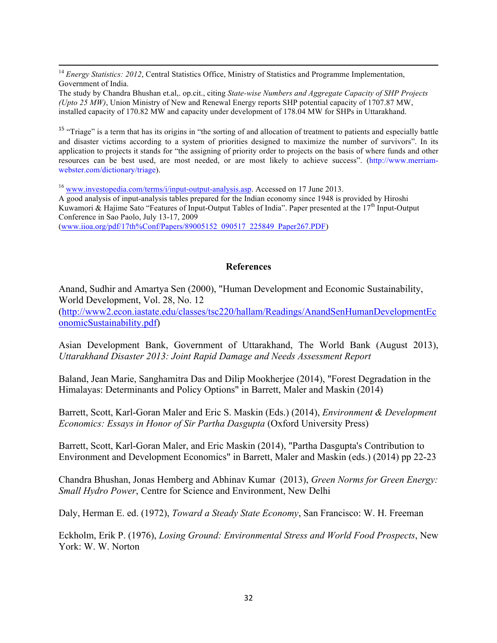<sup>14</sup> *Energy Statistics: 2012*, Central Statistics Office, Ministry of Statistics and Programme Implementation, Government of India.

The study by Chandra Bhushan et.al,. op.cit., citing *State-wise Numbers and Aggregate Capacity of SHP Projects (Upto 25 MW)*, Union Ministry of New and Renewal Energy reports SHP potential capacity of 1707.87 MW, installed capacity of 170.82 MW and capacity under development of 178.04 MW for SHPs in Uttarakhand.

<u> 1989 - Andrea Santa Andrea Andrea Andrea Andrea Andrea Andrea Andrea Andrea Andrea Andrea Andrea Andrea Andr</u>

<sup>15</sup> "Triage" is a term that has its origins in "the sorting of and allocation of treatment to patients and especially battle and disaster victims according to a system of priorities designed to maximize the number of survivors". In its application to projects it stands for "the assigning of priority order to projects on the basis of where funds and other resources can be best used, are most needed, or are most likely to achieve success". (http://www.merriamwebster.com/dictionary/triage).

<sup>16</sup> www.investopedia.com/terms/i/input-output-analysis.asp. Accessed on 17 June 2013. A good analysis of input-analysis tables prepared for the Indian economy since 1948 is provided by Hiroshi Kuwamori & Hajime Sato "Features of Input-Output Tables of India". Paper presented at the 17<sup>th</sup> Input-Output Conference in Sao Paolo, July 13-17, 2009 (www.iioa.org/pdf/17th%Conf/Papers/89005152\_090517\_225849\_Paper267.PDF)

#### **References**

Anand, Sudhir and Amartya Sen (2000), "Human Development and Economic Sustainability, World Development, Vol. 28, No. 12 (http://www2.econ.iastate.edu/classes/tsc220/hallam/Readings/AnandSenHumanDevelopmentEc

onomicSustainability.pdf)

Asian Development Bank, Government of Uttarakhand, The World Bank (August 2013), *Uttarakhand Disaster 2013: Joint Rapid Damage and Needs Assessment Report*

Baland, Jean Marie, Sanghamitra Das and Dilip Mookherjee (2014), "Forest Degradation in the Himalayas: Determinants and Policy Options" in Barrett, Maler and Maskin (2014)

Barrett, Scott, Karl-Goran Maler and Eric S. Maskin (Eds.) (2014), *Environment & Development Economics: Essays in Honor of Sir Partha Dasgupta* (Oxford University Press)

Barrett, Scott, Karl-Goran Maler, and Eric Maskin (2014), "Partha Dasgupta's Contribution to Environment and Development Economics" in Barrett, Maler and Maskin (eds.) (2014) pp 22-23

Chandra Bhushan, Jonas Hemberg and Abhinav Kumar (2013), *Green Norms for Green Energy: Small Hydro Power*, Centre for Science and Environment, New Delhi

Daly, Herman E. ed. (1972), *Toward a Steady State Economy*, San Francisco: W. H. Freeman

Eckholm, Erik P. (1976), *Losing Ground: Environmental Stress and World Food Prospects*, New York: W. W. Norton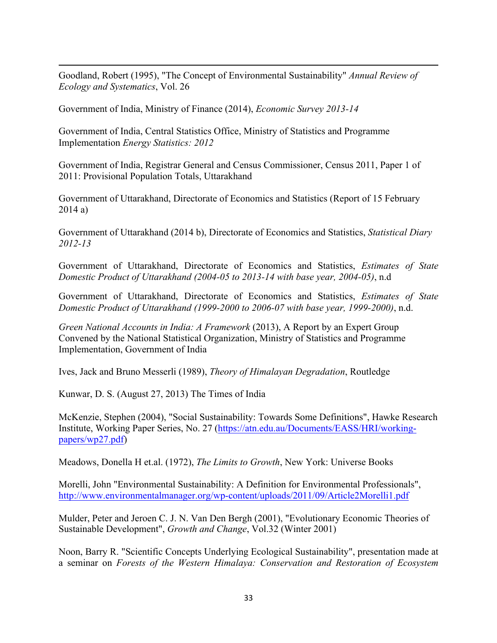Goodland, Robert (1995), "The Concept of Environmental Sustainability" *Annual Review of Ecology and Systematics*, Vol. 26

<u> 1989 - Andrea Santa Andrea Andrea Andrea Andrea Andrea Andrea Andrea Andrea Andrea Andrea Andrea Andrea Andr</u>

Government of India, Ministry of Finance (2014), *Economic Survey 2013-14*

Government of India, Central Statistics Office, Ministry of Statistics and Programme Implementation *Energy Statistics: 2012*

Government of India, Registrar General and Census Commissioner, Census 2011, Paper 1 of 2011: Provisional Population Totals, Uttarakhand

Government of Uttarakhand, Directorate of Economics and Statistics (Report of 15 February 2014 a)

Government of Uttarakhand (2014 b), Directorate of Economics and Statistics, *Statistical Diary 2012-13*

Government of Uttarakhand, Directorate of Economics and Statistics, *Estimates of State Domestic Product of Uttarakhand (2004-05 to 2013-14 with base year, 2004-05)*, n.d

Government of Uttarakhand, Directorate of Economics and Statistics, *Estimates of State Domestic Product of Uttarakhand (1999-2000 to 2006-07 with base year, 1999-2000)*, n.d.

*Green National Accounts in India: A Framework* (2013), A Report by an Expert Group Convened by the National Statistical Organization, Ministry of Statistics and Programme Implementation, Government of India

Ives, Jack and Bruno Messerli (1989), *Theory of Himalayan Degradation*, Routledge

Kunwar, D. S. (August 27, 2013) The Times of India

McKenzie, Stephen (2004), "Social Sustainability: Towards Some Definitions", Hawke Research Institute, Working Paper Series, No. 27 (https://atn.edu.au/Documents/EASS/HRI/workingpapers/wp27.pdf)

Meadows, Donella H et.al. (1972), *The Limits to Growth*, New York: Universe Books

Morelli, John "Environmental Sustainability: A Definition for Environmental Professionals", http://www.environmentalmanager.org/wp-content/uploads/2011/09/Article2Morelli1.pdf

Mulder, Peter and Jeroen C. J. N. Van Den Bergh (2001), "Evolutionary Economic Theories of Sustainable Development", *Growth and Change*, Vol.32 (Winter 2001)

Noon, Barry R. "Scientific Concepts Underlying Ecological Sustainability", presentation made at a seminar on *Forests of the Western Himalaya: Conservation and Restoration of Ecosystem*